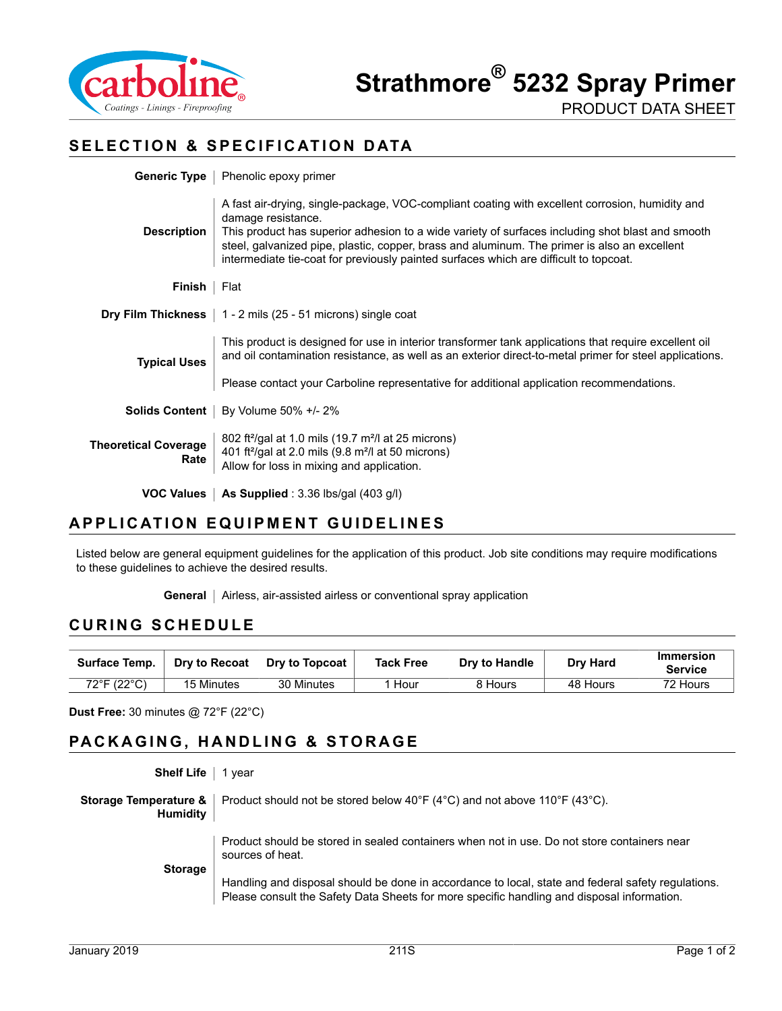

### **SELECTION & SPECIFICATION DATA**

|                                     | <b>Generic Type</b>   Phenolic epoxy primer                                                                                                                                                                                                                                                                                                                                                                        |  |  |  |
|-------------------------------------|--------------------------------------------------------------------------------------------------------------------------------------------------------------------------------------------------------------------------------------------------------------------------------------------------------------------------------------------------------------------------------------------------------------------|--|--|--|
| <b>Description</b>                  | A fast air-drying, single-package, VOC-compliant coating with excellent corrosion, humidity and<br>damage resistance.<br>This product has superior adhesion to a wide variety of surfaces including shot blast and smooth<br>steel, galvanized pipe, plastic, copper, brass and aluminum. The primer is also an excellent<br>intermediate tie-coat for previously painted surfaces which are difficult to topcoat. |  |  |  |
| <b>Finish</b>   Flat                |                                                                                                                                                                                                                                                                                                                                                                                                                    |  |  |  |
|                                     | <b>Dry Film Thickness</b> $\vert$ 1 - 2 mils (25 - 51 microns) single coat                                                                                                                                                                                                                                                                                                                                         |  |  |  |
| <b>Typical Uses</b>                 | This product is designed for use in interior transformer tank applications that require excellent oil<br>and oil contamination resistance, as well as an exterior direct-to-metal primer for steel applications.                                                                                                                                                                                                   |  |  |  |
|                                     | Please contact your Carboline representative for additional application recommendations.                                                                                                                                                                                                                                                                                                                           |  |  |  |
|                                     | <b>Solids Content</b>   By Volume 50% +/- 2%                                                                                                                                                                                                                                                                                                                                                                       |  |  |  |
| <b>Theoretical Coverage</b><br>Rate | 802 ft <sup>2</sup> /gal at 1.0 mils (19.7 m <sup>2</sup> /l at 25 microns)<br>401 ft <sup>2</sup> /gal at 2.0 mils (9.8 m <sup>2</sup> /l at 50 microns)<br>Allow for loss in mixing and application.                                                                                                                                                                                                             |  |  |  |
|                                     | <b>VOC Values</b>   As Supplied : $3.36$ lbs/gal (403 g/l)                                                                                                                                                                                                                                                                                                                                                         |  |  |  |

#### **APPLICATION EQUIPMENT GUIDELINES**

Listed below are general equipment guidelines for the application of this product. Job site conditions may require modifications to these guidelines to achieve the desired results.

**General** | Airless, air-assisted airless or conventional spray application

#### **CURING SCHEDULE**

| Surface Temp. | Dry to Recoat | Dry to Topcoat | <b>Tack Free</b> | Dry to Handle | <b>Drv Hard</b> | <b>Immersion</b><br><b>Service</b> |
|---------------|---------------|----------------|------------------|---------------|-----------------|------------------------------------|
| 72°F (22°C)   | 15 Minutes    | 30 Minutes     | Hour             | 8 Hours       | 48 Hours        | 72 Hours                           |

**Dust Free:** 30 minutes @ 72°F (22°C)

# **PACKAGING, HANDLING & STORAGE**

| <b>Shelf Life</b>                        | vear                                                                                                                                                                                             |
|------------------------------------------|--------------------------------------------------------------------------------------------------------------------------------------------------------------------------------------------------|
| Storage Temperature &<br><b>Humidity</b> | Product should not be stored below $40^{\circ}F(4^{\circ}C)$ and not above 110 $^{\circ}F(43^{\circ}C)$ .                                                                                        |
| <b>Storage</b>                           | Product should be stored in sealed containers when not in use. Do not store containers near<br>sources of heat.                                                                                  |
|                                          | Handling and disposal should be done in accordance to local, state and federal safety regulations.<br>Please consult the Safety Data Sheets for more specific handling and disposal information. |